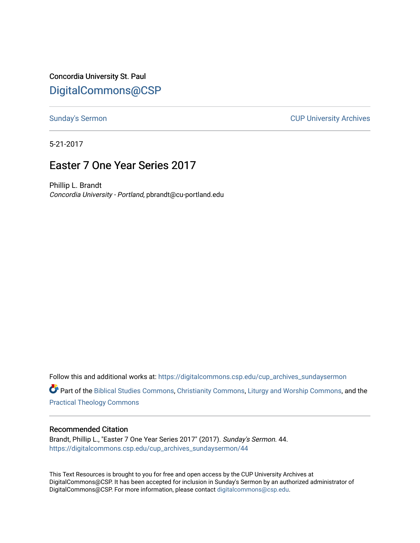Concordia University St. Paul [DigitalCommons@CSP](https://digitalcommons.csp.edu/)

[Sunday's Sermon](https://digitalcommons.csp.edu/cup_archives_sundaysermon) **CUP University Archives** 

5-21-2017

# Easter 7 One Year Series 2017

Phillip L. Brandt Concordia University - Portland, pbrandt@cu-portland.edu

Follow this and additional works at: [https://digitalcommons.csp.edu/cup\\_archives\\_sundaysermon](https://digitalcommons.csp.edu/cup_archives_sundaysermon?utm_source=digitalcommons.csp.edu%2Fcup_archives_sundaysermon%2F44&utm_medium=PDF&utm_campaign=PDFCoverPages)

Part of the [Biblical Studies Commons,](http://network.bepress.com/hgg/discipline/539?utm_source=digitalcommons.csp.edu%2Fcup_archives_sundaysermon%2F44&utm_medium=PDF&utm_campaign=PDFCoverPages) [Christianity Commons,](http://network.bepress.com/hgg/discipline/1181?utm_source=digitalcommons.csp.edu%2Fcup_archives_sundaysermon%2F44&utm_medium=PDF&utm_campaign=PDFCoverPages) [Liturgy and Worship Commons](http://network.bepress.com/hgg/discipline/1188?utm_source=digitalcommons.csp.edu%2Fcup_archives_sundaysermon%2F44&utm_medium=PDF&utm_campaign=PDFCoverPages), and the [Practical Theology Commons](http://network.bepress.com/hgg/discipline/1186?utm_source=digitalcommons.csp.edu%2Fcup_archives_sundaysermon%2F44&utm_medium=PDF&utm_campaign=PDFCoverPages) 

#### Recommended Citation

Brandt, Phillip L., "Easter 7 One Year Series 2017" (2017). Sunday's Sermon. 44. [https://digitalcommons.csp.edu/cup\\_archives\\_sundaysermon/44](https://digitalcommons.csp.edu/cup_archives_sundaysermon/44?utm_source=digitalcommons.csp.edu%2Fcup_archives_sundaysermon%2F44&utm_medium=PDF&utm_campaign=PDFCoverPages) 

This Text Resources is brought to you for free and open access by the CUP University Archives at DigitalCommons@CSP. It has been accepted for inclusion in Sunday's Sermon by an authorized administrator of DigitalCommons@CSP. For more information, please contact [digitalcommons@csp.edu](mailto:digitalcommons@csp.edu).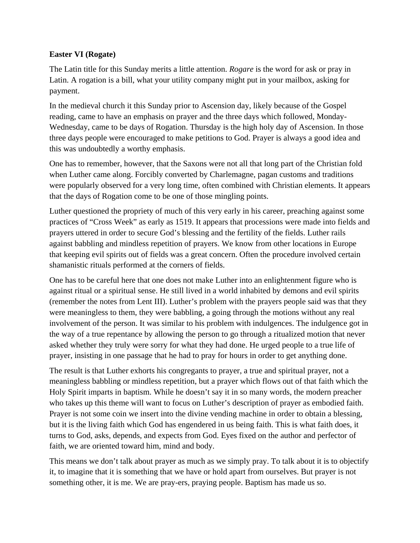### **Easter VI (Rogate)**

The Latin title for this Sunday merits a little attention. *Rogare* is the word for ask or pray in Latin. A rogation is a bill, what your utility company might put in your mailbox, asking for payment.

In the medieval church it this Sunday prior to Ascension day, likely because of the Gospel reading, came to have an emphasis on prayer and the three days which followed, Monday-Wednesday, came to be days of Rogation. Thursday is the high holy day of Ascension. In those three days people were encouraged to make petitions to God. Prayer is always a good idea and this was undoubtedly a worthy emphasis.

One has to remember, however, that the Saxons were not all that long part of the Christian fold when Luther came along. Forcibly converted by Charlemagne, pagan customs and traditions were popularly observed for a very long time, often combined with Christian elements. It appears that the days of Rogation come to be one of those mingling points.

Luther questioned the propriety of much of this very early in his career, preaching against some practices of "Cross Week" as early as 1519. It appears that processions were made into fields and prayers uttered in order to secure God's blessing and the fertility of the fields. Luther rails against babbling and mindless repetition of prayers. We know from other locations in Europe that keeping evil spirits out of fields was a great concern. Often the procedure involved certain shamanistic rituals performed at the corners of fields.

One has to be careful here that one does not make Luther into an enlightenment figure who is against ritual or a spiritual sense. He still lived in a world inhabited by demons and evil spirits (remember the notes from Lent III). Luther's problem with the prayers people said was that they were meaningless to them, they were babbling, a going through the motions without any real involvement of the person. It was similar to his problem with indulgences. The indulgence got in the way of a true repentance by allowing the person to go through a ritualized motion that never asked whether they truly were sorry for what they had done. He urged people to a true life of prayer, insisting in one passage that he had to pray for hours in order to get anything done.

The result is that Luther exhorts his congregants to prayer, a true and spiritual prayer, not a meaningless babbling or mindless repetition, but a prayer which flows out of that faith which the Holy Spirit imparts in baptism. While he doesn't say it in so many words, the modern preacher who takes up this theme will want to focus on Luther's description of prayer as embodied faith. Prayer is not some coin we insert into the divine vending machine in order to obtain a blessing, but it is the living faith which God has engendered in us being faith. This is what faith does, it turns to God, asks, depends, and expects from God. Eyes fixed on the author and perfector of faith, we are oriented toward him, mind and body.

This means we don't talk about prayer as much as we simply pray. To talk about it is to objectify it, to imagine that it is something that we have or hold apart from ourselves. But prayer is not something other, it is me. We are pray-ers, praying people. Baptism has made us so.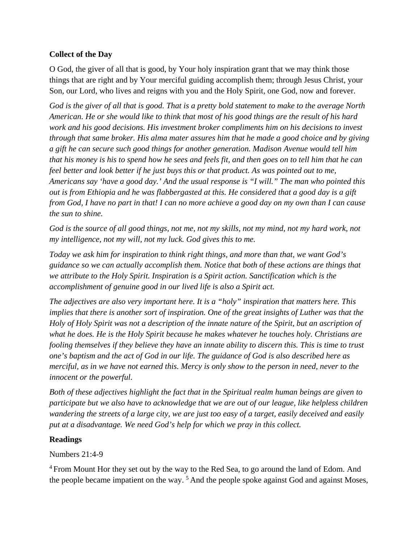### **Collect of the Day**

O God, the giver of all that is good, by Your holy inspiration grant that we may think those things that are right and by Your merciful guiding accomplish them; through Jesus Christ, your Son, our Lord, who lives and reigns with you and the Holy Spirit, one God, now and forever.

*God is the giver of all that is good. That is a pretty bold statement to make to the average North American. He or she would like to think that most of his good things are the result of his hard work and his good decisions. His investment broker compliments him on his decisions to invest through that same broker. His alma mater assures him that he made a good choice and by giving a gift he can secure such good things for another generation. Madison Avenue would tell him that his money is his to spend how he sees and feels fit, and then goes on to tell him that he can feel better and look better if he just buys this or that product. As was pointed out to me, Americans say 'have a good day.' And the usual response is "I will." The man who pointed this out is from Ethiopia and he was flabbergasted at this. He considered that a good day is a gift from God, I have no part in that! I can no more achieve a good day on my own than I can cause the sun to shine.* 

God is the source of all good things, not me, not my skills, not my mind, not my hard work, not *my intelligence, not my will, not my luck. God gives this to me.* 

*Today we ask him for inspiration to think right things, and more than that, we want God's guidance so we can actually accomplish them. Notice that both of these actions are things that we attribute to the Holy Spirit. Inspiration is a Spirit action. Sanctification which is the accomplishment of genuine good in our lived life is also a Spirit act.* 

*The adjectives are also very important here. It is a "holy" inspiration that matters here. This implies that there is another sort of inspiration. One of the great insights of Luther was that the Holy of Holy Spirit was not a description of the innate nature of the Spirit, but an ascription of what he does. He is the Holy Spirit because he makes whatever he touches holy. Christians are fooling themselves if they believe they have an innate ability to discern this. This is time to trust one's baptism and the act of God in our life. The guidance of God is also described here as merciful, as in we have not earned this. Mercy is only show to the person in need, never to the innocent or the powerful.* 

*Both of these adjectives highlight the fact that in the Spiritual realm human beings are given to participate but we also have to acknowledge that we are out of our league, like helpless children wandering the streets of a large city, we are just too easy of a target, easily deceived and easily put at a disadvantage. We need God's help for which we pray in this collect.*

### **Readings**

### Numbers 21:4-9

<sup>4</sup> From Mount Hor they set out by the way to the Red Sea, to go around the land of Edom. And the people became impatient on the way.<sup>5</sup> And the people spoke against God and against Moses,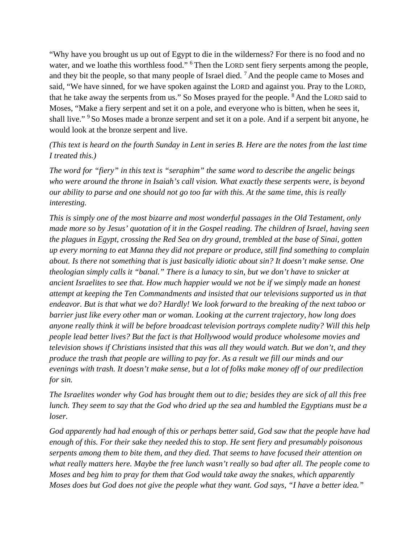"Why have you brought us up out of Egypt to die in the wilderness? For there is no food and no water, and we loathe this worthless food." <sup>6</sup> Then the LORD sent fiery serpents among the people, and they bit the people, so that many people of Israel died. <sup>7</sup> And the people came to Moses and said, "We have sinned, for we have spoken against the LORD and against you. Pray to the LORD, that he take away the serpents from us." So Moses prayed for the people. <sup>8</sup> And the LORD said to Moses, "Make a fiery serpent and set it on a pole, and everyone who is bitten, when he sees it, shall live." <sup>9</sup> So Moses made a bronze serpent and set it on a pole. And if a serpent bit anyone, he would look at the bronze serpent and live.

### *(This text is heard on the fourth Sunday in Lent in series B. Here are the notes from the last time I treated this.)*

*The word for "fiery" in this text is "seraphim" the same word to describe the angelic beings who were around the throne in Isaiah's call vision. What exactly these serpents were, is beyond our ability to parse and one should not go too far with this. At the same time, this is really interesting.* 

*This is simply one of the most bizarre and most wonderful passages in the Old Testament, only made more so by Jesus' quotation of it in the Gospel reading. The children of Israel, having seen the plagues in Egypt, crossing the Red Sea on dry ground, trembled at the base of Sinai, gotten up every morning to eat Manna they did not prepare or produce, still find something to complain about. Is there not something that is just basically idiotic about sin? It doesn't make sense. One theologian simply calls it "banal." There is a lunacy to sin, but we don't have to snicker at ancient Israelites to see that. How much happier would we not be if we simply made an honest attempt at keeping the Ten Commandments and insisted that our televisions supported us in that endeavor. But is that what we do? Hardly! We look forward to the breaking of the next taboo or barrier just like every other man or woman. Looking at the current trajectory, how long does anyone really think it will be before broadcast television portrays complete nudity? Will this help people lead better lives? But the fact is that Hollywood would produce wholesome movies and television shows if Christians insisted that this was all they would watch. But we don't, and they produce the trash that people are willing to pay for. As a result we fill our minds and our evenings with trash. It doesn't make sense, but a lot of folks make money off of our predilection for sin.* 

*The Israelites wonder why God has brought them out to die; besides they are sick of all this free lunch. They seem to say that the God who dried up the sea and humbled the Egyptians must be a loser.* 

*God apparently had had enough of this or perhaps better said, God saw that the people have had enough of this. For their sake they needed this to stop. He sent fiery and presumably poisonous serpents among them to bite them, and they died. That seems to have focused their attention on what really matters here. Maybe the free lunch wasn't really so bad after all. The people come to Moses and beg him to pray for them that God would take away the snakes, which apparently Moses does but God does not give the people what they want. God says, "I have a better idea."*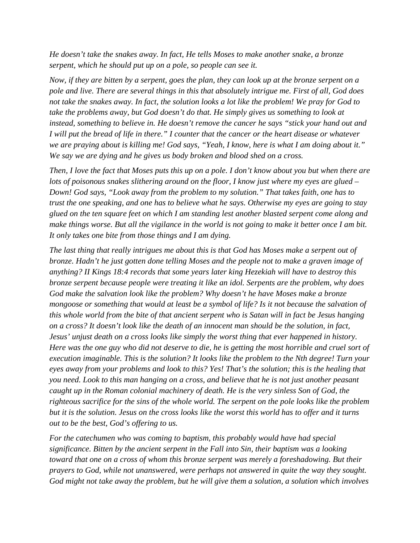*He doesn't take the snakes away. In fact, He tells Moses to make another snake, a bronze serpent, which he should put up on a pole, so people can see it.* 

*Now, if they are bitten by a serpent, goes the plan, they can look up at the bronze serpent on a pole and live. There are several things in this that absolutely intrigue me. First of all, God does not take the snakes away. In fact, the solution looks a lot like the problem! We pray for God to take the problems away, but God doesn't do that. He simply gives us something to look at*  instead, something to believe in. He doesn't remove the cancer he says "stick your hand out and *I will put the bread of life in there." I counter that the cancer or the heart disease or whatever we are praying about is killing me! God says, "Yeah, I know, here is what I am doing about it." We say we are dying and he gives us body broken and blood shed on a cross.* 

*Then, I love the fact that Moses puts this up on a pole. I don't know about you but when there are lots of poisonous snakes slithering around on the floor, I know just where my eyes are glued – Down! God says, "Look away from the problem to my solution." That takes faith, one has to trust the one speaking, and one has to believe what he says. Otherwise my eyes are going to stay glued on the ten square feet on which I am standing lest another blasted serpent come along and make things worse. But all the vigilance in the world is not going to make it better once I am bit. It only takes one bite from those things and I am dying.* 

*The last thing that really intrigues me about this is that God has Moses make a serpent out of bronze. Hadn't he just gotten done telling Moses and the people not to make a graven image of anything? II Kings 18:4 records that some years later king Hezekiah will have to destroy this bronze serpent because people were treating it like an idol. Serpents are the problem, why does God make the salvation look like the problem? Why doesn't he have Moses make a bronze mongoose or something that would at least be a symbol of life? Is it not because the salvation of this whole world from the bite of that ancient serpent who is Satan will in fact be Jesus hanging on a cross? It doesn't look like the death of an innocent man should be the solution, in fact, Jesus' unjust death on a cross looks like simply the worst thing that ever happened in history. Here was the one guy who did not deserve to die, he is getting the most horrible and cruel sort of execution imaginable. This is the solution? It looks like the problem to the Nth degree! Turn your eyes away from your problems and look to this? Yes! That's the solution; this is the healing that you need. Look to this man hanging on a cross, and believe that he is not just another peasant caught up in the Roman colonial machinery of death. He is the very sinless Son of God, the righteous sacrifice for the sins of the whole world. The serpent on the pole looks like the problem but it is the solution. Jesus on the cross looks like the worst this world has to offer and it turns out to be the best, God's offering to us.*

*For the catechumen who was coming to baptism, this probably would have had special significance. Bitten by the ancient serpent in the Fall into Sin, their baptism was a looking toward that one on a cross of whom this bronze serpent was merely a foreshadowing. But their prayers to God, while not unanswered, were perhaps not answered in quite the way they sought. God might not take away the problem, but he will give them a solution, a solution which involves*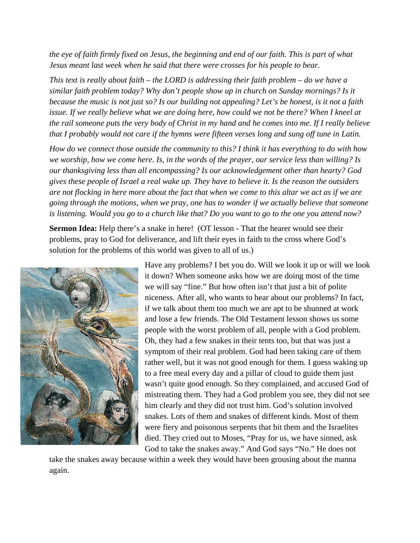*the eye of faith firmly fixed on Jesus, the beginning and end of our faith. This is part of what Jesus meant last week when he said that there were crosses for his people to bear.* 

*This text is really about faith – the LORD is addressing their faith problem – do we have a similar faith problem today? Why don't people show up in church on Sunday mornings? Is it because the music is not just so? Is our building not appealing? Let's be honest, is it not a faith issue. If we really believe what we are doing here, how could we not be there? When I kneel at the rail someone puts the very body of Christ in my hand and he comes into me. If I really believe that I probably would not care if the hymns were fifteen verses long and sung off tune in Latin.* 

*How do we connect those outside the community to this? I think it has everything to do with how we worship, how we come here. Is, in the words of the prayer, our service less than willing? Is our thanksgiving less than all encompassing? Is our acknowledgement other than hearty? God gives these people of Israel a real wake up. They have to believe it. Is the reason the outsiders are not flocking in here more about the fact that when we come to this altar we act as if we are going through the motions, when we pray, one has to wonder if we actually believe that someone is listening. Would you go to a church like that? Do you want to go to the one you attend now?* 

**Sermon Idea:** Help there's a snake in here! (OT lesson - That the hearer would see their problems, pray to God for deliverance, and lift their eyes in faith to the cross where God's solution for the problems of this world was given to all of us.)



Have any problems? I bet you do. Will we look it up or will we look it down? When someone asks how we are doing most of the time we will say "fine." But how often isn't that just a bit of polite niceness. After all, who wants to hear about our problems? In fact, if we talk about them too much we are apt to be shunned at work and lose a few friends. The Old Testament lesson shows us some people with the worst problem of all, people with a God problem. Oh, they had a few snakes in their tents too, but that was just a symptom of their real problem. God had been taking care of them rather well, but it was not good enough for them. I guess waking up to a free meal every day and a pillar of cloud to guide them just wasn't quite good enough. So they complained, and accused God of mistreating them. They had a God problem you see, they did not see him clearly and they did not trust him. God's solution involved snakes. Lots of them and snakes of different kinds. Most of them were fiery and poisonous serpents that bit them and the Israelites died. They cried out to Moses, "Pray for us, we have sinned, ask God to take the snakes away." And God says "No." He does not

take the snakes away because within a week they would have been grousing about the manna again.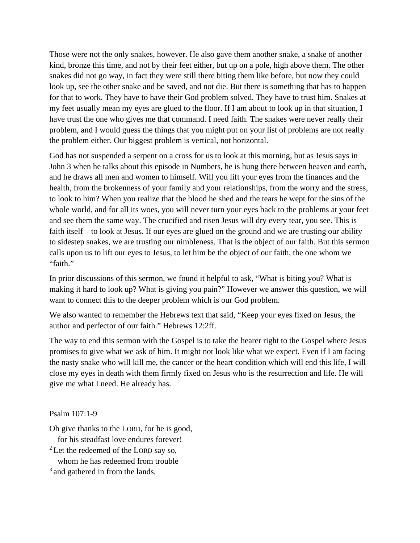Those were not the only snakes, however. He also gave them another snake, a snake of another kind, bronze this time, and not by their feet either, but up on a pole, high above them. The other snakes did not go way, in fact they were still there biting them like before, but now they could look up, see the other snake and be saved, and not die. But there is something that has to happen for that to work. They have to have their God problem solved. They have to trust him. Snakes at my feet usually mean my eyes are glued to the floor. If I am about to look up in that situation, I have trust the one who gives me that command. I need faith. The snakes were never really their problem, and I would guess the things that you might put on your list of problems are not really the problem either. Our biggest problem is vertical, not horizontal.

God has not suspended a serpent on a cross for us to look at this morning, but as Jesus says in John 3 when he talks about this episode in Numbers, he is hung there between heaven and earth, and he draws all men and women to himself. Will you lift your eyes from the finances and the health, from the brokenness of your family and your relationships, from the worry and the stress, to look to him? When you realize that the blood he shed and the tears he wept for the sins of the whole world, and for all its woes, you will never turn your eyes back to the problems at your feet and see them the same way. The crucified and risen Jesus will dry every tear, you see. This is faith itself – to look at Jesus. If our eyes are glued on the ground and we are trusting our ability to sidestep snakes, we are trusting our nimbleness. That is the object of our faith. But this sermon calls upon us to lift our eyes to Jesus, to let him be the object of our faith, the one whom we "faith."

In prior discussions of this sermon, we found it helpful to ask, "What is biting you? What is making it hard to look up? What is giving you pain?" However we answer this question, we will want to connect this to the deeper problem which is our God problem.

We also wanted to remember the Hebrews text that said, "Keep your eyes fixed on Jesus, the author and perfector of our faith." Hebrews 12:2ff.

The way to end this sermon with the Gospel is to take the hearer right to the Gospel where Jesus promises to give what we ask of him. It might not look like what we expect. Even if I am facing the nasty snake who will kill me, the cancer or the heart condition which will end this life, I will close my eyes in death with them firmly fixed on Jesus who is the resurrection and life. He will give me what I need. He already has.

Psalm 107:1-9

Oh give thanks to the LORD, for he is good,

for his steadfast love endures forever!

 $2$  Let the redeemed of the LORD say so,

whom he has redeemed from trouble

<sup>3</sup> and gathered in from the lands,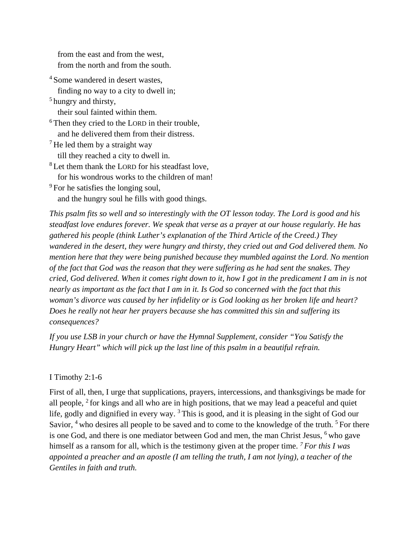from the east and from the west, from the north and from the south.

<sup>4</sup> Some wandered in desert wastes,

finding no way to a city to dwell in;

<sup>5</sup> hungry and thirsty,

their soul fainted within them.

<sup>6</sup> Then they cried to the LORD in their trouble,

and he delivered them from their distress.

 $<sup>7</sup>$  He led them by a straight way</sup> till they reached a city to dwell in.

<sup>8</sup> Let them thank the LORD for his steadfast love, for his wondrous works to the children of man!

<sup>9</sup> For he satisfies the longing soul, and the hungry soul he fills with good things.

*This psalm fits so well and so interestingly with the OT lesson today. The Lord is good and his steadfast love endures forever. We speak that verse as a prayer at our house regularly. He has gathered his people (think Luther's explanation of the Third Article of the Creed.) They wandered in the desert, they were hungry and thirsty, they cried out and God delivered them. No mention here that they were being punished because they mumbled against the Lord. No mention of the fact that God was the reason that they were suffering as he had sent the snakes. They cried, God delivered. When it comes right down to it, how I got in the predicament I am in is not nearly as important as the fact that I am in it. Is God so concerned with the fact that this woman's divorce was caused by her infidelity or is God looking as her broken life and heart? Does he really not hear her prayers because she has committed this sin and suffering its consequences?* 

*If you use LSB in your church or have the Hymnal Supplement, consider "You Satisfy the Hungry Heart" which will pick up the last line of this psalm in a beautiful refrain.* 

### I Timothy 2:1-6

First of all, then, I urge that supplications, prayers, intercessions, and thanksgivings be made for all people,  $2$  for kings and all who are in high positions, that we may lead a peaceful and quiet life, godly and dignified in every way.<sup>3</sup> This is good, and it is pleasing in the sight of God our Savior, <sup>4</sup> who desires all people to be saved and to come to the knowledge of the truth. <sup>5</sup> For there is one God, and there is one mediator between God and men, the man Christ Jesus, <sup>6</sup> who gave himself as a ransom for all, which is the testimony given at the proper time. *<sup>7</sup> For this I was appointed a preacher and an apostle (I am telling the truth, I am not lying), a teacher of the Gentiles in faith and truth.*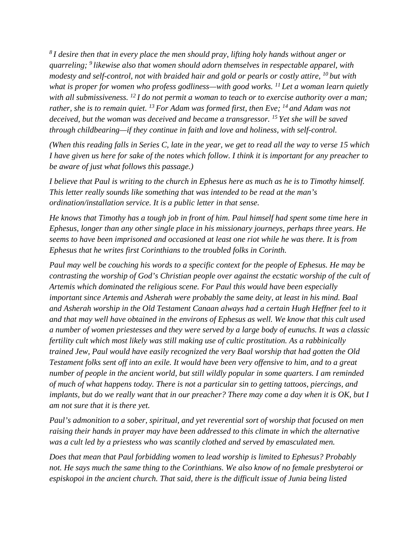*<sup>8</sup> I desire then that in every place the men should pray, lifting holy hands without anger or quarreling; <sup>9</sup> likewise also that women should adorn themselves in respectable apparel, with modesty and self-control, not with braided hair and gold or pearls or costly attire, <sup>10</sup> but with what is proper for women who profess godliness—with good works. <sup>11</sup> Let a woman learn quietly with all submissiveness. <sup>12</sup> I do not permit a woman to teach or to exercise authority over a man; rather, she is to remain quiet. <sup>13</sup> For Adam was formed first, then Eve; <sup>14</sup> and Adam was not deceived, but the woman was deceived and became a transgressor. <sup>15</sup> Yet she will be saved through childbearing—if they continue in faith and love and holiness, with self-control.*

*(When this reading falls in Series C, late in the year, we get to read all the way to verse 15 which I have given us here for sake of the notes which follow. I think it is important for any preacher to be aware of just what follows this passage.)* 

*I believe that Paul is writing to the church in Ephesus here as much as he is to Timothy himself. This letter really sounds like something that was intended to be read at the man's ordination/installation service. It is a public letter in that sense.* 

*He knows that Timothy has a tough job in front of him. Paul himself had spent some time here in Ephesus, longer than any other single place in his missionary journeys, perhaps three years. He seems to have been imprisoned and occasioned at least one riot while he was there. It is from Ephesus that he writes first Corinthians to the troubled folks in Corinth.* 

*Paul may well be couching his words to a specific context for the people of Ephesus. He may be contrasting the worship of God's Christian people over against the ecstatic worship of the cult of Artemis which dominated the religious scene. For Paul this would have been especially important since Artemis and Asherah were probably the same deity, at least in his mind. Baal and Asherah worship in the Old Testament Canaan always had a certain Hugh Heffner feel to it and that may well have obtained in the environs of Ephesus as well. We know that this cult used a number of women priestesses and they were served by a large body of eunuchs. It was a classic fertility cult which most likely was still making use of cultic prostitution. As a rabbinically trained Jew, Paul would have easily recognized the very Baal worship that had gotten the Old Testament folks sent off into an exile. It would have been very offensive to him, and to a great number of people in the ancient world, but still wildly popular in some quarters. I am reminded of much of what happens today. There is not a particular sin to getting tattoos, piercings, and implants, but do we really want that in our preacher? There may come a day when it is OK, but I am not sure that it is there yet.* 

*Paul's admonition to a sober, spiritual, and yet reverential sort of worship that focused on men raising their hands in prayer may have been addressed to this climate in which the alternative was a cult led by a priestess who was scantily clothed and served by emasculated men.* 

*Does that mean that Paul forbidding women to lead worship is limited to Ephesus? Probably not. He says much the same thing to the Corinthians. We also know of no female presbyteroi or espiskopoi in the ancient church. That said, there is the difficult issue of Junia being listed*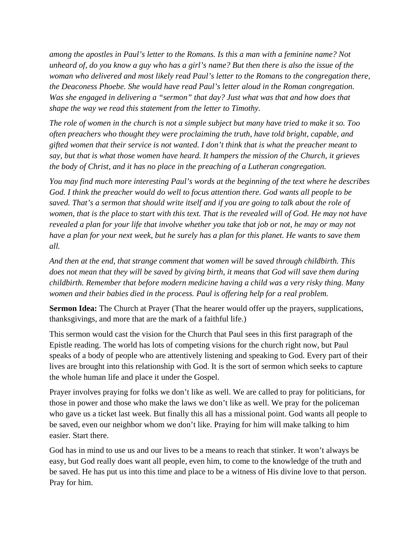*among the apostles in Paul's letter to the Romans. Is this a man with a feminine name? Not unheard of, do you know a guy who has a girl's name? But then there is also the issue of the woman who delivered and most likely read Paul's letter to the Romans to the congregation there, the Deaconess Phoebe. She would have read Paul's letter aloud in the Roman congregation. Was she engaged in delivering a "sermon" that day? Just what was that and how does that shape the way we read this statement from the letter to Timothy.*

*The role of women in the church is not a simple subject but many have tried to make it so. Too often preachers who thought they were proclaiming the truth, have told bright, capable, and gifted women that their service is not wanted. I don't think that is what the preacher meant to say, but that is what those women have heard. It hampers the mission of the Church, it grieves the body of Christ, and it has no place in the preaching of a Lutheran congregation.* 

*You may find much more interesting Paul's words at the beginning of the text where he describes God. I think the preacher would do well to focus attention there. God wants all people to be saved. That's a sermon that should write itself and if you are going to talk about the role of women, that is the place to start with this text. That is the revealed will of God. He may not have revealed a plan for your life that involve whether you take that job or not, he may or may not have a plan for your next week, but he surely has a plan for this planet. He wants to save them all.* 

*And then at the end, that strange comment that women will be saved through childbirth. This does not mean that they will be saved by giving birth, it means that God will save them during childbirth. Remember that before modern medicine having a child was a very risky thing. Many women and their babies died in the process. Paul is offering help for a real problem.* 

**Sermon Idea:** The Church at Prayer (That the hearer would offer up the prayers, supplications, thanksgivings, and more that are the mark of a faithful life.)

This sermon would cast the vision for the Church that Paul sees in this first paragraph of the Epistle reading. The world has lots of competing visions for the church right now, but Paul speaks of a body of people who are attentively listening and speaking to God. Every part of their lives are brought into this relationship with God. It is the sort of sermon which seeks to capture the whole human life and place it under the Gospel.

Prayer involves praying for folks we don't like as well. We are called to pray for politicians, for those in power and those who make the laws we don't like as well. We pray for the policeman who gave us a ticket last week. But finally this all has a missional point. God wants all people to be saved, even our neighbor whom we don't like. Praying for him will make talking to him easier. Start there.

God has in mind to use us and our lives to be a means to reach that stinker. It won't always be easy, but God really does want all people, even him, to come to the knowledge of the truth and be saved. He has put us into this time and place to be a witness of His divine love to that person. Pray for him.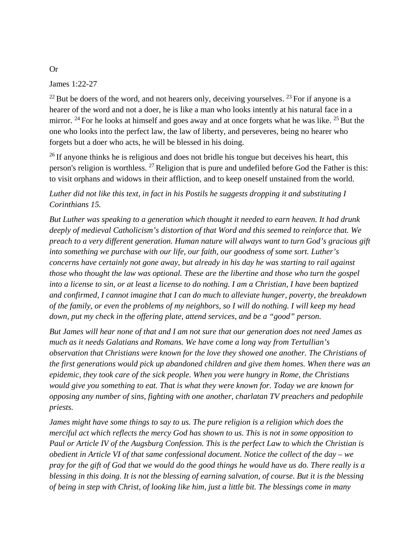James 1:22-27

 $^{22}$  But be doers of the word, and not hearers only, deceiving yourselves.  $^{23}$  For if anyone is a hearer of the word and not a doer, he is like a man who looks intently at his natural face in a mirror. <sup>24</sup> For he looks at himself and goes away and at once forgets what he was like. <sup>25</sup> But the one who looks into the perfect law, the law of liberty, and perseveres, being no hearer who forgets but a doer who acts, he will be blessed in his doing.

 $^{26}$  If anyone thinks he is religious and does not bridle his tongue but deceives his heart, this person's religion is worthless. 27 Religion that is pure and undefiled before God the Father is this: to visit orphans and widows in their affliction, and to keep oneself unstained from the world.

*Luther did not like this text, in fact in his Postils he suggests dropping it and substituting I Corinthians 15.* 

*But Luther was speaking to a generation which thought it needed to earn heaven. It had drunk deeply of medieval Catholicism's distortion of that Word and this seemed to reinforce that. We preach to a very different generation. Human nature will always want to turn God's gracious gift into something we purchase with our life, our faith, our goodness of some sort. Luther's concerns have certainly not gone away, but already in his day he was starting to rail against those who thought the law was optional. These are the libertine and those who turn the gospel into a license to sin, or at least a license to do nothing. I am a Christian, I have been baptized and confirmed, I cannot imagine that I can do much to alleviate hunger, poverty, the breakdown of the family, or even the problems of my neighbors, so I will do nothing. I will keep my head down, put my check in the offering plate, attend services, and be a "good" person.* 

*But James will hear none of that and I am not sure that our generation does not need James as much as it needs Galatians and Romans. We have come a long way from Tertullian's observation that Christians were known for the love they showed one another. The Christians of the first generations would pick up abandoned children and give them homes. When there was an epidemic, they took care of the sick people. When you were hungry in Rome, the Christians would give you something to eat. That is what they were known for. Today we are known for opposing any number of sins, fighting with one another, charlatan TV preachers and pedophile priests.* 

*James might have some things to say to us. The pure religion is a religion which does the merciful act which reflects the mercy God has shown to us. This is not in some opposition to Paul or Article IV of the Augsburg Confession. This is the perfect Law to which the Christian is obedient in Article VI of that same confessional document. Notice the collect of the day – we pray for the gift of God that we would do the good things he would have us do. There really is a blessing in this doing. It is not the blessing of earning salvation, of course. But it is the blessing of being in step with Christ, of looking like him, just a little bit. The blessings come in many* 

Or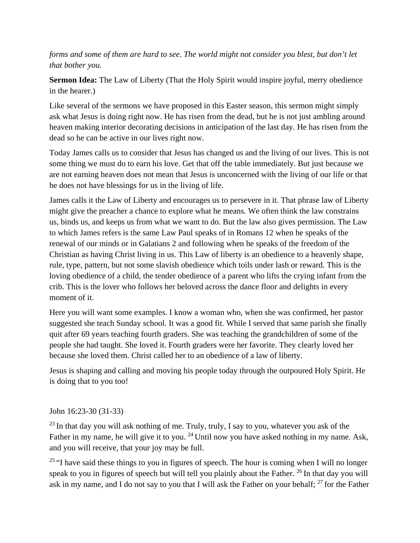*forms and some of them are hard to see. The world might not consider you blest, but don't let that bother you.* 

**Sermon Idea:** The Law of Liberty (That the Holy Spirit would inspire joyful, merry obedience in the hearer.)

Like several of the sermons we have proposed in this Easter season, this sermon might simply ask what Jesus is doing right now. He has risen from the dead, but he is not just ambling around heaven making interior decorating decisions in anticipation of the last day. He has risen from the dead so he can be active in our lives right now.

Today James calls us to consider that Jesus has changed us and the living of our lives. This is not some thing we must do to earn his love. Get that off the table immediately. But just because we are not earning heaven does not mean that Jesus is unconcerned with the living of our life or that he does not have blessings for us in the living of life.

James calls it the Law of Liberty and encourages us to persevere in it. That phrase law of Liberty might give the preacher a chance to explore what he means. We often think the law constrains us, binds us, and keeps us from what we want to do. But the law also gives permission. The Law to which James refers is the same Law Paul speaks of in Romans 12 when he speaks of the renewal of our minds or in Galatians 2 and following when he speaks of the freedom of the Christian as having Christ living in us. This Law of liberty is an obedience to a heavenly shape, rule, type, pattern, but not some slavish obedience which toils under lash or reward. This is the loving obedience of a child, the tender obedience of a parent who lifts the crying infant from the crib. This is the lover who follows her beloved across the dance floor and delights in every moment of it.

Here you will want some examples. I know a woman who, when she was confirmed, her pastor suggested she teach Sunday school. It was a good fit. While I served that same parish she finally quit after 69 years teaching fourth graders. She was teaching the grandchildren of some of the people she had taught. She loved it. Fourth graders were her favorite. They clearly loved her because she loved them. Christ called her to an obedience of a law of liberty.

Jesus is shaping and calling and moving his people today through the outpoured Holy Spirit. He is doing that to you too!

### John 16:23-30 (31-33)

 $^{23}$  In that day you will ask nothing of me. Truly, truly, I say to you, whatever you ask of the Father in my name, he will give it to you.<sup>24</sup> Until now you have asked nothing in my name. Ask, and you will receive, that your joy may be full.

<sup>25</sup> "I have said these things to you in figures of speech. The hour is coming when I will no longer speak to you in figures of speech but will tell you plainly about the Father. <sup>26</sup> In that day you will ask in my name, and I do not say to you that I will ask the Father on your behalf; <sup>27</sup> for the Father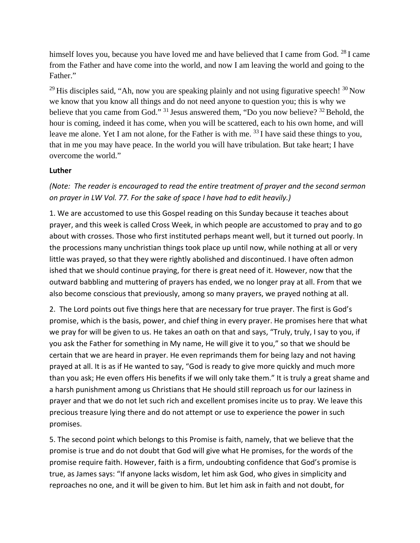himself loves you, because you have loved me and have believed that I came from God.  $^{28}$ I came from the Father and have come into the world, and now I am leaving the world and going to the Father."

<sup>29</sup> His disciples said, "Ah, now you are speaking plainly and not using figurative speech!  $30$  Now we know that you know all things and do not need anyone to question you; this is why we believe that you came from God."  $31$  Jesus answered them, "Do you now believe?  $32$  Behold, the hour is coming, indeed it has come, when you will be scattered, each to his own home, and will leave me alone. Yet I am not alone, for the Father is with me. <sup>33</sup> I have said these things to you, that in me you may have peace. In the world you will have tribulation. But take heart; I have overcome the world."

#### **Luther**

## *(Note: The reader is encouraged to read the entire treatment of prayer and the second sermon on prayer in LW Vol. 77. For the sake of space I have had to edit heavily.)*

1. We are accustomed to use this Gospel reading on this Sunday because it teaches about prayer, and this week is called Cross Week, in which people are accustomed to pray and to go about with crosses. Those who first instituted perhaps meant well, but it turned out poorly. In the processions many unchristian things took place up until now, while nothing at all or very little was prayed, so that they were rightly abolished and discontinued. I have often admon ished that we should continue praying, for there is great need of it. However, now that the outward babbling and muttering of prayers has ended, we no longer pray at all. From that we also become conscious that previously, among so many prayers, we prayed nothing at all.

2. The Lord points out five things here that are necessary for true prayer. The first is God's promise, which is the basis, power, and chief thing in every prayer. He promises here that what we pray for will be given to us. He takes an oath on that and says, "Truly, truly, I say to you, if you ask the Father for something in My name, He will give it to you," so that we should be certain that we are heard in prayer. He even reprimands them for being lazy and not having prayed at all. It is as if He wanted to say, "God is ready to give more quickly and much more than you ask; He even offers His benefits if we will only take them." It is truly a great shame and a harsh punishment among us Christians that He should still reproach us for our laziness in prayer and that we do not let such rich and excellent promises incite us to pray. We leave this precious treasure lying there and do not attempt or use to experience the power in such promises.

5. The second point which belongs to this Promise is faith, namely, that we believe that the promise is true and do not doubt that God will give what He promises, for the words of the promise require faith. However, faith is a firm, undoubting confidence that God's promise is true, as James says: "If anyone lacks wisdom, let him ask God, who gives in simplicity and reproaches no one, and it will be given to him. But let him ask in faith and not doubt, for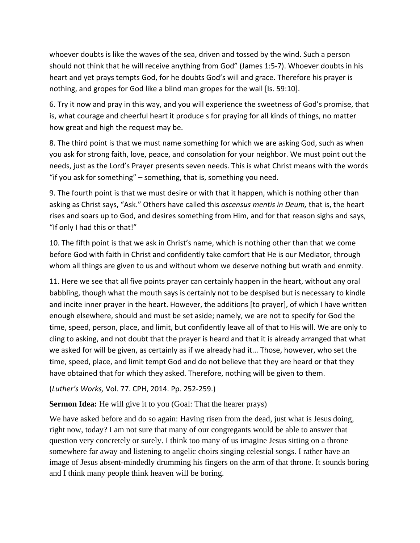whoever doubts is like the waves of the sea, driven and tossed by the wind. Such a person should not think that he will receive anything from God" (James 1:5-7). Whoever doubts in his heart and yet prays tempts God, for he doubts God's will and grace. Therefore his prayer is nothing, and gropes for God like a blind man gropes for the wall [Is. 59:10].

6. Try it now and pray in this way, and you will experience the sweetness of God's promise, that is, what courage and cheerful heart it produce s for praying for all kinds of things, no matter how great and high the request may be.

8. The third point is that we must name something for which we are asking God, such as when you ask for strong faith, love, peace, and consolation for your neighbor. We must point out the needs, just as the Lord's Prayer presents seven needs. This is what Christ means with the words "if you ask for something" – something, that is, something you need.

9. The fourth point is that we must desire or with that it happen, which is nothing other than asking as Christ says, "Ask." Others have called this *ascensus mentis in Deum,* that is, the heart rises and soars up to God, and desires something from Him, and for that reason sighs and says, "If only I had this or that!"

10. The fifth point is that we ask in Christ's name, which is nothing other than that we come before God with faith in Christ and confidently take comfort that He is our Mediator, through whom all things are given to us and without whom we deserve nothing but wrath and enmity.

11. Here we see that all five points prayer can certainly happen in the heart, without any oral babbling, though what the mouth says is certainly not to be despised but is necessary to kindle and incite inner prayer in the heart. However, the additions [to prayer], of which I have written enough elsewhere, should and must be set aside; namely, we are not to specify for God the time, speed, person, place, and limit, but confidently leave all of that to His will. We are only to cling to asking, and not doubt that the prayer is heard and that it is already arranged that what we asked for will be given, as certainly as if we already had it... Those, however, who set the time, speed, place, and limit tempt God and do not believe that they are heard or that they have obtained that for which they asked. Therefore, nothing will be given to them.

### (*Luther's Works,* Vol. 77. CPH, 2014. Pp. 252-259.)

**Sermon Idea:** He will give it to you (Goal: That the hearer prays)

We have asked before and do so again: Having risen from the dead, just what is Jesus doing, right now, today? I am not sure that many of our congregants would be able to answer that question very concretely or surely. I think too many of us imagine Jesus sitting on a throne somewhere far away and listening to angelic choirs singing celestial songs. I rather have an image of Jesus absent-mindedly drumming his fingers on the arm of that throne. It sounds boring and I think many people think heaven will be boring.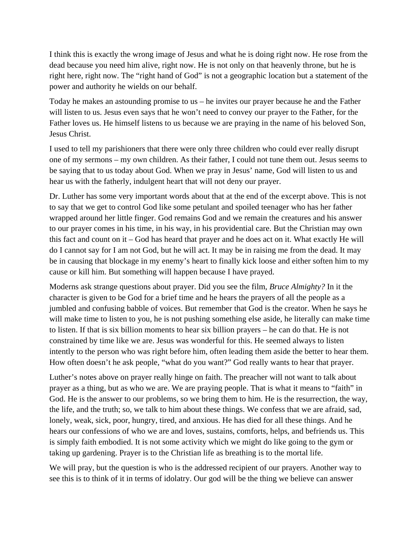I think this is exactly the wrong image of Jesus and what he is doing right now. He rose from the dead because you need him alive, right now. He is not only on that heavenly throne, but he is right here, right now. The "right hand of God" is not a geographic location but a statement of the power and authority he wields on our behalf.

Today he makes an astounding promise to us – he invites our prayer because he and the Father will listen to us. Jesus even says that he won't need to convey our prayer to the Father, for the Father loves us. He himself listens to us because we are praying in the name of his beloved Son, Jesus Christ.

I used to tell my parishioners that there were only three children who could ever really disrupt one of my sermons – my own children. As their father, I could not tune them out. Jesus seems to be saying that to us today about God. When we pray in Jesus' name, God will listen to us and hear us with the fatherly, indulgent heart that will not deny our prayer.

Dr. Luther has some very important words about that at the end of the excerpt above. This is not to say that we get to control God like some petulant and spoiled teenager who has her father wrapped around her little finger. God remains God and we remain the creatures and his answer to our prayer comes in his time, in his way, in his providential care. But the Christian may own this fact and count on it – God has heard that prayer and he does act on it. What exactly He will do I cannot say for I am not God, but he will act. It may be in raising me from the dead. It may be in causing that blockage in my enemy's heart to finally kick loose and either soften him to my cause or kill him. But something will happen because I have prayed.

Moderns ask strange questions about prayer. Did you see the film, *Bruce Almighty?* In it the character is given to be God for a brief time and he hears the prayers of all the people as a jumbled and confusing babble of voices. But remember that God is the creator. When he says he will make time to listen to you, he is not pushing something else aside, he literally can make time to listen. If that is six billion moments to hear six billion prayers – he can do that. He is not constrained by time like we are. Jesus was wonderful for this. He seemed always to listen intently to the person who was right before him, often leading them aside the better to hear them. How often doesn't he ask people, "what do you want?" God really wants to hear that prayer.

Luther's notes above on prayer really hinge on faith. The preacher will not want to talk about prayer as a thing, but as who we are. We are praying people. That is what it means to "faith" in God. He is the answer to our problems, so we bring them to him. He is the resurrection, the way, the life, and the truth; so, we talk to him about these things. We confess that we are afraid, sad, lonely, weak, sick, poor, hungry, tired, and anxious. He has died for all these things. And he hears our confessions of who we are and loves, sustains, comforts, helps, and befriends us. This is simply faith embodied. It is not some activity which we might do like going to the gym or taking up gardening. Prayer is to the Christian life as breathing is to the mortal life.

We will pray, but the question is who is the addressed recipient of our prayers. Another way to see this is to think of it in terms of idolatry. Our god will be the thing we believe can answer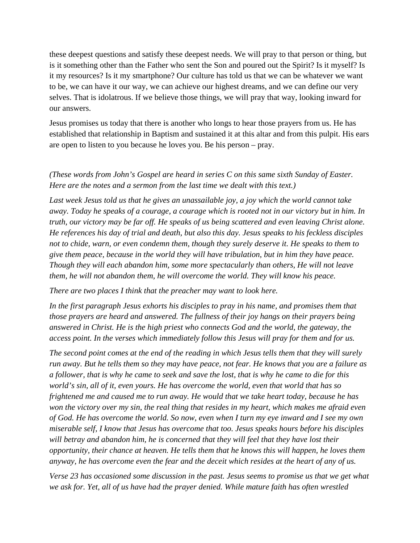these deepest questions and satisfy these deepest needs. We will pray to that person or thing, but is it something other than the Father who sent the Son and poured out the Spirit? Is it myself? Is it my resources? Is it my smartphone? Our culture has told us that we can be whatever we want to be, we can have it our way, we can achieve our highest dreams, and we can define our very selves. That is idolatrous. If we believe those things, we will pray that way, looking inward for our answers.

Jesus promises us today that there is another who longs to hear those prayers from us. He has established that relationship in Baptism and sustained it at this altar and from this pulpit. His ears are open to listen to you because he loves you. Be his person – pray.

### *(These words from John's Gospel are heard in series C on this same sixth Sunday of Easter. Here are the notes and a sermon from the last time we dealt with this text.)*

*Last week Jesus told us that he gives an unassailable joy, a joy which the world cannot take away. Today he speaks of a courage, a courage which is rooted not in our victory but in him. In truth, our victory may be far off. He speaks of us being scattered and even leaving Christ alone. He references his day of trial and death, but also this day. Jesus speaks to his feckless disciples not to chide, warn, or even condemn them, though they surely deserve it. He speaks to them to give them peace, because in the world they will have tribulation, but in him they have peace. Though they will each abandon him, some more spectacularly than others, He will not leave them, he will not abandon them, he will overcome the world. They will know his peace.* 

*There are two places I think that the preacher may want to look here.* 

*In the first paragraph Jesus exhorts his disciples to pray in his name, and promises them that those prayers are heard and answered. The fullness of their joy hangs on their prayers being answered in Christ. He is the high priest who connects God and the world, the gateway, the access point. In the verses which immediately follow this Jesus will pray for them and for us.* 

*The second point comes at the end of the reading in which Jesus tells them that they will surely run away. But he tells them so they may have peace, not fear. He knows that you are a failure as a follower, that is why he came to seek and save the lost, that is why he came to die for this world's sin, all of it, even yours. He has overcome the world, even that world that has so frightened me and caused me to run away. He would that we take heart today, because he has won the victory over my sin, the real thing that resides in my heart, which makes me afraid even of God. He has overcome the world. So now, even when I turn my eye inward and I see my own miserable self, I know that Jesus has overcome that too. Jesus speaks hours before his disciples will betray and abandon him, he is concerned that they will feel that they have lost their opportunity, their chance at heaven. He tells them that he knows this will happen, he loves them anyway, he has overcome even the fear and the deceit which resides at the heart of any of us.* 

*Verse 23 has occasioned some discussion in the past. Jesus seems to promise us that we get what we ask for. Yet, all of us have had the prayer denied. While mature faith has often wrestled*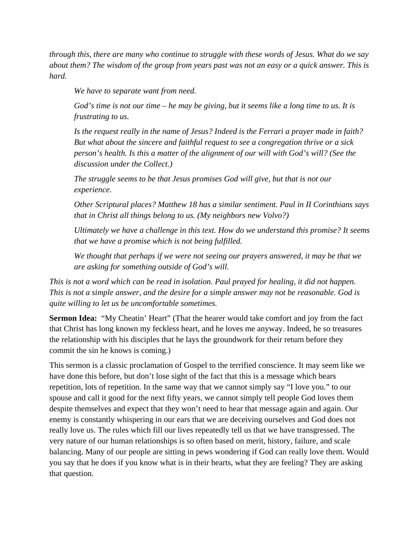*through this, there are many who continue to struggle with these words of Jesus. What do we say about them? The wisdom of the group from years past was not an easy or a quick answer. This is hard.* 

*We have to separate want from need.* 

*God's time is not our time – he may be giving, but it seems like a long time to us. It is frustrating to us.* 

*Is the request really in the name of Jesus? Indeed is the Ferrari a prayer made in faith? But what about the sincere and faithful request to see a congregation thrive or a sick person's health. Is this a matter of the alignment of our will with God's will? (See the discussion under the Collect.)* 

*The struggle seems to be that Jesus promises God will give, but that is not our experience.* 

*Other Scriptural places? Matthew 18 has a similar sentiment. Paul in II Corinthians says that in Christ all things belong to us. (My neighbors new Volvo?)* 

*Ultimately we have a challenge in this text. How do we understand this promise? It seems that we have a promise which is not being fulfilled.* 

*We thought that perhaps if we were not seeing our prayers answered, it may be that we are asking for something outside of God's will.* 

*This is not a word which can be read in isolation. Paul prayed for healing, it did not happen. This is not a simple answer, and the desire for a simple answer may not be reasonable. God is quite willing to let us be uncomfortable sometimes.*

**Sermon Idea:** "My Cheatin' Heart" (That the hearer would take comfort and joy from the fact that Christ has long known my feckless heart, and he loves me anyway. Indeed, he so treasures the relationship with his disciples that he lays the groundwork for their return before they commit the sin he knows is coming.)

This sermon is a classic proclamation of Gospel to the terrified conscience. It may seem like we have done this before, but don't lose sight of the fact that this is a message which bears repetition, lots of repetition. In the same way that we cannot simply say "I love you." to our spouse and call it good for the next fifty years, we cannot simply tell people God loves them despite themselves and expect that they won't need to hear that message again and again. Our enemy is constantly whispering in our ears that we are deceiving ourselves and God does not really love us. The rules which fill our lives repeatedly tell us that we have transgressed. The very nature of our human relationships is so often based on merit, history, failure, and scale balancing. Many of our people are sitting in pews wondering if God can really love them. Would you say that he does if you know what is in their hearts, what they are feeling? They are asking that question.